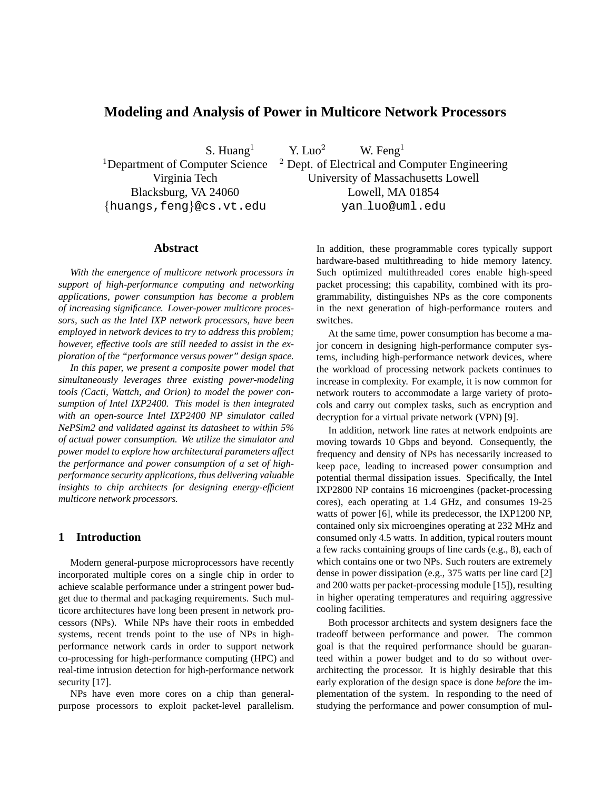# **Modeling and Analysis of Power in Multicore Network Processors**

{huangs,feng}@cs.vt.edu yan luo@uml.edu

S. Huang<sup>1</sup> Y. Luo<sup>2</sup> W. Feng<sup>1</sup> <sup>1</sup>Department of Computer Science  $\frac{2}{7}$  Dept. of Electrical and Computer Engineering Virginia Tech University of Massachusetts Lowell Blacksburg, VA 24060 Lowell, MA 01854

# **Abstract**

*With the emergence of multicore network processors in support of high-performance computing and networking applications, power consumption has become a problem of increasing significance. Lower-power multicore processors, such as the Intel IXP network processors, have been employed in network devices to try to address this problem; however, effective tools are still needed to assist in the exploration of the "performance versus power" design space.*

*In this paper, we present a composite power model that simultaneously leverages three existing power-modeling tools (Cacti, Wattch, and Orion) to model the power consumption of Intel IXP2400. This model is then integrated with an open-source Intel IXP2400 NP simulator called NePSim2 and validated against its datasheet to within 5% of actual power consumption. We utilize the simulator and power model to explore how architectural parameters affect the performance and power consumption of a set of highperformance security applications, thus delivering valuable insights to chip architects for designing energy-efficient multicore network processors.*

# **1 Introduction**

Modern general-purpose microprocessors have recently incorporated multiple cores on a single chip in order to achieve scalable performance under a stringent power budget due to thermal and packaging requirements. Such multicore architectures have long been present in network processors (NPs). While NPs have their roots in embedded systems, recent trends point to the use of NPs in highperformance network cards in order to support network co-processing for high-performance computing (HPC) and real-time intrusion detection for high-performance network security [17].

NPs have even more cores on a chip than generalpurpose processors to exploit packet-level parallelism. In addition, these programmable cores typically support hardware-based multithreading to hide memory latency. Such optimized multithreaded cores enable high-speed packet processing; this capability, combined with its programmability, distinguishes NPs as the core components in the next generation of high-performance routers and switches.

At the same time, power consumption has become a major concern in designing high-performance computer systems, including high-performance network devices, where the workload of processing network packets continues to increase in complexity. For example, it is now common for network routers to accommodate a large variety of protocols and carry out complex tasks, such as encryption and decryption for a virtual private network (VPN) [9].

In addition, network line rates at network endpoints are moving towards 10 Gbps and beyond. Consequently, the frequency and density of NPs has necessarily increased to keep pace, leading to increased power consumption and potential thermal dissipation issues. Specifically, the Intel IXP2800 NP contains 16 microengines (packet-processing cores), each operating at 1.4 GHz, and consumes 19-25 watts of power [6], while its predecessor, the IXP1200 NP, contained only six microengines operating at 232 MHz and consumed only 4.5 watts. In addition, typical routers mount a few racks containing groups of line cards (e.g., 8), each of which contains one or two NPs. Such routers are extremely dense in power dissipation (e.g., 375 watts per line card [2] and 200 watts per packet-processing module [15]), resulting in higher operating temperatures and requiring aggressive cooling facilities.

Both processor architects and system designers face the tradeoff between performance and power. The common goal is that the required performance should be guaranteed within a power budget and to do so without overarchitecting the processor. It is highly desirable that this early exploration of the design space is done *before* the implementation of the system. In responding to the need of studying the performance and power consumption of mul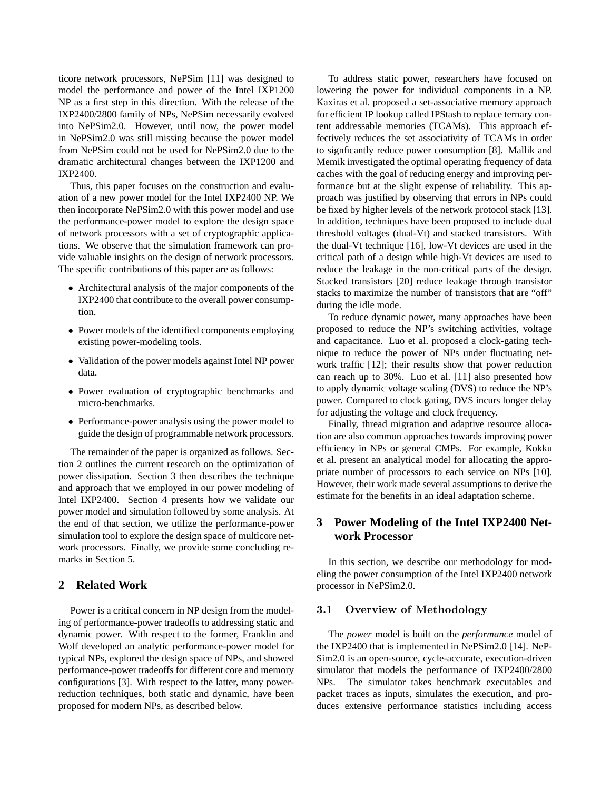ticore network processors, NePSim [11] was designed to model the performance and power of the Intel IXP1200 NP as a first step in this direction. With the release of the IXP2400/2800 family of NPs, NePSim necessarily evolved into NePSim2.0. However, until now, the power model in NePSim2.0 was still missing because the power model from NePSim could not be used for NePSim2.0 due to the dramatic architectural changes between the IXP1200 and IXP2400.

Thus, this paper focuses on the construction and evaluation of a new power model for the Intel IXP2400 NP. We then incorporate NePSim2.0 with this power model and use the performance-power model to explore the design space of network processors with a set of cryptographic applications. We observe that the simulation framework can provide valuable insights on the design of network processors. The specific contributions of this paper are as follows:

- Architectural analysis of the major components of the IXP2400 that contribute to the overall power consumption.
- Power models of the identified components employing existing power-modeling tools.
- Validation of the power models against Intel NP power data.
- Power evaluation of cryptographic benchmarks and micro-benchmarks.
- Performance-power analysis using the power model to guide the design of programmable network processors.

The remainder of the paper is organized as follows. Section 2 outlines the current research on the optimization of power dissipation. Section 3 then describes the technique and approach that we employed in our power modeling of Intel IXP2400. Section 4 presents how we validate our power model and simulation followed by some analysis. At the end of that section, we utilize the performance-power simulation tool to explore the design space of multicore network processors. Finally, we provide some concluding remarks in Section 5.

# **2 Related Work**

Power is a critical concern in NP design from the modeling of performance-power tradeoffs to addressing static and dynamic power. With respect to the former, Franklin and Wolf developed an analytic performance-power model for typical NPs, explored the design space of NPs, and showed performance-power tradeoffs for different core and memory configurations [3]. With respect to the latter, many powerreduction techniques, both static and dynamic, have been proposed for modern NPs, as described below.

To address static power, researchers have focused on lowering the power for individual components in a NP. Kaxiras et al. proposed a set-associative memory approach for efficient IP lookup called IPStash to replace ternary content addressable memories (TCAMs). This approach effectively reduces the set associativity of TCAMs in order to signficantly reduce power consumption [8]. Mallik and Memik investigated the optimal operating frequency of data caches with the goal of reducing energy and improving performance but at the slight expense of reliability. This approach was justified by observing that errors in NPs could be fixed by higher levels of the network protocol stack [13]. In addition, techniques have been proposed to include dual threshold voltages (dual-Vt) and stacked transistors. With the dual-Vt technique [16], low-Vt devices are used in the critical path of a design while high-Vt devices are used to reduce the leakage in the non-critical parts of the design. Stacked transistors [20] reduce leakage through transistor stacks to maximize the number of transistors that are "off" during the idle mode.

To reduce dynamic power, many approaches have been proposed to reduce the NP's switching activities, voltage and capacitance. Luo et al. proposed a clock-gating technique to reduce the power of NPs under fluctuating network traffic [12]; their results show that power reduction can reach up to 30%. Luo et al. [11] also presented how to apply dynamic voltage scaling (DVS) to reduce the NP's power. Compared to clock gating, DVS incurs longer delay for adjusting the voltage and clock frequency.

Finally, thread migration and adaptive resource allocation are also common approaches towards improving power efficiency in NPs or general CMPs. For example, Kokku et al. present an analytical model for allocating the appropriate number of processors to each service on NPs [10]. However, their work made several assumptions to derive the estimate for the benefits in an ideal adaptation scheme.

# **3 Power Modeling of the Intel IXP2400 Network Processor**

In this section, we describe our methodology for modeling the power consumption of the Intel IXP2400 network processor in NePSim2.0.

#### 3.1 Overview of Methodology

The *power* model is built on the *performance* model of the IXP2400 that is implemented in NePSim2.0 [14]. NeP-Sim2.0 is an open-source, cycle-accurate, execution-driven simulator that models the performance of IXP2400/2800 NPs. The simulator takes benchmark executables and packet traces as inputs, simulates the execution, and produces extensive performance statistics including access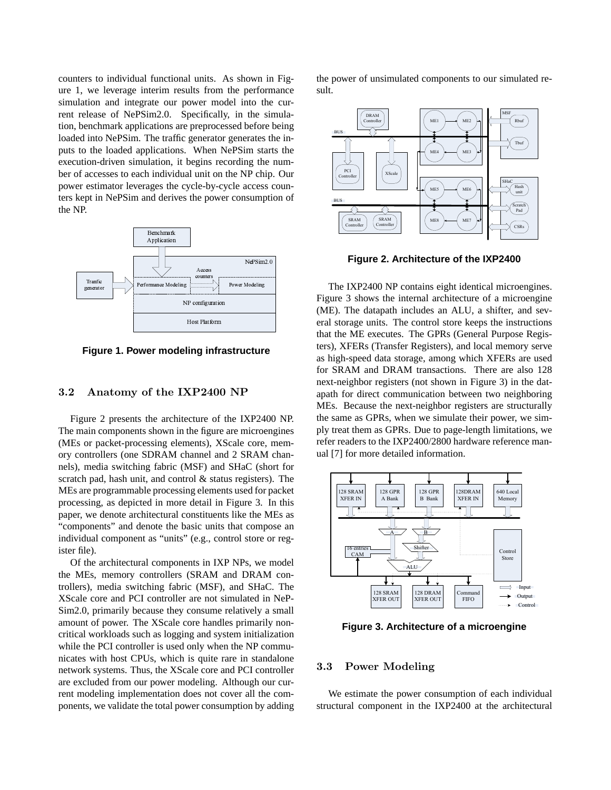counters to individual functional units. As shown in Figure 1, we leverage interim results from the performance simulation and integrate our power model into the current release of NePSim2.0. Specifically, in the simulation, benchmark applications are preprocessed before being loaded into NePSim. The traffic generator generates the inputs to the loaded applications. When NePSim starts the execution-driven simulation, it begins recording the number of accesses to each individual unit on the NP chip. Our power estimator leverages the cycle-by-cycle access counters kept in NePSim and derives the power consumption of the NP.



**Figure 1. Power modeling infrastructure**

#### 3.2 Anatomy of the IXP2400 NP

Figure 2 presents the architecture of the IXP2400 NP. The main components shown in the figure are microengines (MEs or packet-processing elements), XScale core, memory controllers (one SDRAM channel and 2 SRAM channels), media switching fabric (MSF) and SHaC (short for scratch pad, hash unit, and control  $\&$  status registers). The MEs are programmable processing elements used for packet processing, as depicted in more detail in Figure 3. In this paper, we denote architectural constituents like the MEs as "components" and denote the basic units that compose an individual component as "units" (e.g., control store or register file).

Of the architectural components in IXP NPs, we model the MEs, memory controllers (SRAM and DRAM controllers), media switching fabric (MSF), and SHaC. The XScale core and PCI controller are not simulated in NeP-Sim2.0, primarily because they consume relatively a small amount of power. The XScale core handles primarily noncritical workloads such as logging and system initialization while the PCI controller is used only when the NP communicates with host CPUs, which is quite rare in standalone network systems. Thus, the XScale core and PCI controller are excluded from our power modeling. Although our current modeling implementation does not cover all the components, we validate the total power consumption by adding the power of unsimulated components to our simulated result.



**Figure 2. Architecture of the IXP2400**

The IXP2400 NP contains eight identical microengines. Figure 3 shows the internal architecture of a microengine (ME). The datapath includes an ALU, a shifter, and several storage units. The control store keeps the instructions that the ME executes. The GPRs (General Purpose Registers), XFERs (Transfer Registers), and local memory serve as high-speed data storage, among which XFERs are used for SRAM and DRAM transactions. There are also 128 next-neighbor registers (not shown in Figure 3) in the datapath for direct communication between two neighboring MEs. Because the next-neighbor registers are structurally the same as GPRs, when we simulate their power, we simply treat them as GPRs. Due to page-length limitations, we refer readers to the IXP2400/2800 hardware reference manual [7] for more detailed information.



**Figure 3. Architecture of a microengine**

#### 3.3 Power Modeling

We estimate the power consumption of each individual structural component in the IXP2400 at the architectural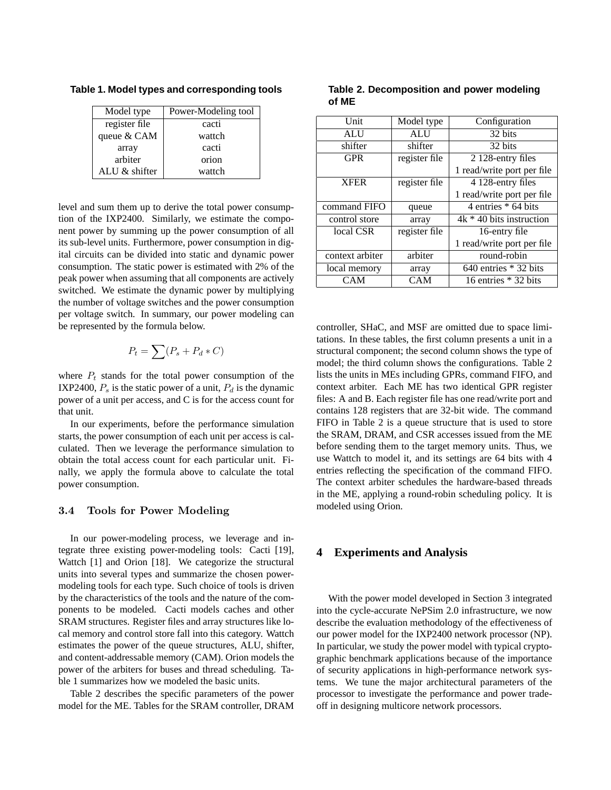**Table 1. Model types and corresponding tools**

| Model type      | Power-Modeling tool |
|-----------------|---------------------|
| register file   | cacti               |
| queue & CAM     | wattch              |
| array           | cacti               |
| arbiter         | orion               |
| ALU $&$ shifter | wattch              |

level and sum them up to derive the total power consumption of the IXP2400. Similarly, we estimate the component power by summing up the power consumption of all its sub-level units. Furthermore, power consumption in digital circuits can be divided into static and dynamic power consumption. The static power is estimated with 2% of the peak power when assuming that all components are actively switched. We estimate the dynamic power by multiplying the number of voltage switches and the power consumption per voltage switch. In summary, our power modeling can be represented by the formula below.

$$
P_t = \sum (P_s + P_d * C)
$$

where  $P_t$  stands for the total power consumption of the IXP2400,  $P_s$  is the static power of a unit,  $P_d$  is the dynamic power of a unit per access, and C is for the access count for that unit.

In our experiments, before the performance simulation starts, the power consumption of each unit per access is calculated. Then we leverage the performance simulation to obtain the total access count for each particular unit. Finally, we apply the formula above to calculate the total power consumption.

#### 3.4 Tools for Power Modeling

In our power-modeling process, we leverage and integrate three existing power-modeling tools: Cacti [19], Wattch [1] and Orion [18]. We categorize the structural units into several types and summarize the chosen powermodeling tools for each type. Such choice of tools is driven by the characteristics of the tools and the nature of the components to be modeled. Cacti models caches and other SRAM structures. Register files and array structures like local memory and control store fall into this category. Wattch estimates the power of the queue structures, ALU, shifter, and content-addressable memory (CAM). Orion models the power of the arbiters for buses and thread scheduling. Table 1 summarizes how we modeled the basic units.

Table 2 describes the specific parameters of the power model for the ME. Tables for the SRAM controller, DRAM

**Table 2. Decomposition and power modeling of ME**

| <b>Unit</b>     | Model type    | Configuration              |
|-----------------|---------------|----------------------------|
| <b>ALU</b>      | <b>ALU</b>    | 32 bits                    |
| shifter         | shifter       | 32 hits                    |
| <b>GPR</b>      | register file | 2 128-entry files          |
|                 |               | 1 read/write port per file |
| <b>XFER</b>     | register file | 4 128-entry files          |
|                 |               | 1 read/write port per file |
| command FIFO    | queue         | 4 entries $*$ 64 bits      |
| control store   | array         | $4k * 40$ bits instruction |
| local CSR       | register file | 16-entry file              |
|                 |               | 1 read/write port per file |
| context arbiter | arbiter       | round-robin                |
| local memory    | array         | $640$ entries $*$ 32 bits  |
| CAM             | CAM           | 16 entries $*$ 32 bits     |
|                 |               |                            |

controller, SHaC, and MSF are omitted due to space limitations. In these tables, the first column presents a unit in a structural component; the second column shows the type of model; the third column shows the configurations. Table 2 lists the units in MEs including GPRs, command FIFO, and context arbiter. Each ME has two identical GPR register files: A and B. Each register file has one read/write port and contains 128 registers that are 32-bit wide. The command FIFO in Table 2 is a queue structure that is used to store the SRAM, DRAM, and CSR accesses issued from the ME before sending them to the target memory units. Thus, we use Wattch to model it, and its settings are 64 bits with 4 entries reflecting the specification of the command FIFO. The context arbiter schedules the hardware-based threads in the ME, applying a round-robin scheduling policy. It is modeled using Orion.

#### **4 Experiments and Analysis**

With the power model developed in Section 3 integrated into the cycle-accurate NePSim 2.0 infrastructure, we now describe the evaluation methodology of the effectiveness of our power model for the IXP2400 network processor (NP). In particular, we study the power model with typical cryptographic benchmark applications because of the importance of security applications in high-performance network systems. We tune the major architectural parameters of the processor to investigate the performance and power tradeoff in designing multicore network processors.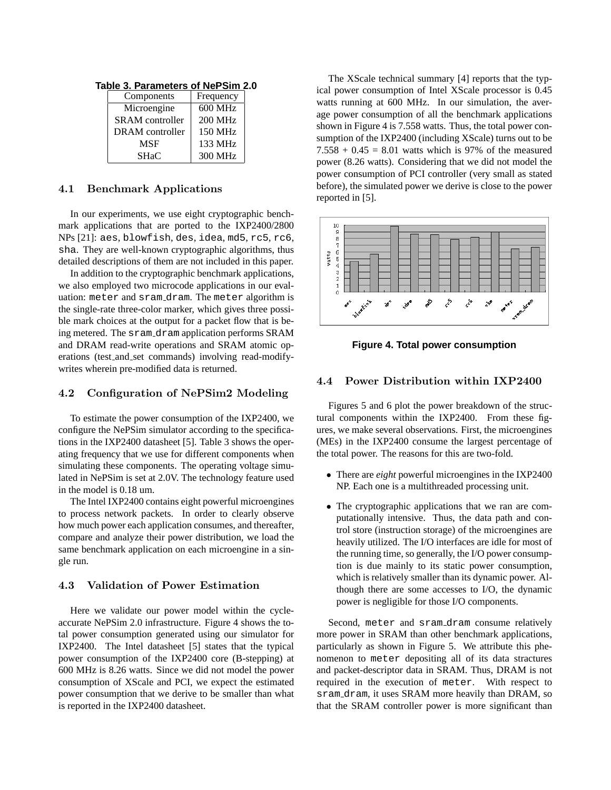|  | Components             | Frequency      |  |
|--|------------------------|----------------|--|
|  | Microengine            | 600 MHz        |  |
|  | <b>SRAM</b> controller | <b>200 MHz</b> |  |
|  | DRAM controller        | 150 MHz        |  |
|  | <b>MSF</b>             | 133 MHz        |  |
|  | <b>SHaC</b>            | 300 MHz        |  |

**Table 3. Parameters of NePSim 2.0**

#### 4.1 Benchmark Applications

In our experiments, we use eight cryptographic benchmark applications that are ported to the IXP2400/2800 NPs [21]: aes, blowfish, des, idea, md5, rc5, rc6, sha. They are well-known cryptographic algorithms, thus detailed descriptions of them are not included in this paper.

In addition to the cryptographic benchmark applications, we also employed two microcode applications in our evaluation: meter and sram dram. The meter algorithm is the single-rate three-color marker, which gives three possible mark choices at the output for a packet flow that is being metered. The sram\_dram application performs SRAM and DRAM read-write operations and SRAM atomic operations (test\_and\_set commands) involving read-modifywrites wherein pre-modified data is returned.

#### 4.2 Configuration of NePSim2 Modeling

To estimate the power consumption of the IXP2400, we configure the NePSim simulator according to the specifications in the IXP2400 datasheet [5]. Table 3 shows the operating frequency that we use for different components when simulating these components. The operating voltage simulated in NePSim is set at 2.0V. The technology feature used in the model is 0.18 um.

The Intel IXP2400 contains eight powerful microengines to process network packets. In order to clearly observe how much power each application consumes, and thereafter, compare and analyze their power distribution, we load the same benchmark application on each microengine in a single run.

# 4.3 Validation of Power Estimation

Here we validate our power model within the cycleaccurate NePSim 2.0 infrastructure. Figure 4 shows the total power consumption generated using our simulator for IXP2400. The Intel datasheet [5] states that the typical power consumption of the IXP2400 core (B-stepping) at 600 MHz is 8.26 watts. Since we did not model the power consumption of XScale and PCI, we expect the estimated power consumption that we derive to be smaller than what is reported in the IXP2400 datasheet.

The XScale technical summary [4] reports that the typical power consumption of Intel XScale processor is 0.45 watts running at 600 MHz. In our simulation, the average power consumption of all the benchmark applications shown in Figure 4 is 7.558 watts. Thus, the total power consumption of the IXP2400 (including XScale) turns out to be  $7.558 + 0.45 = 8.01$  watts which is 97% of the measured power (8.26 watts). Considering that we did not model the power consumption of PCI controller (very small as stated before), the simulated power we derive is close to the power reported in [5].



**Figure 4. Total power consumption**

# 4.4 Power Distribution within IXP2400

Figures 5 and 6 plot the power breakdown of the structural components within the IXP2400. From these figures, we make several observations. First, the microengines (MEs) in the IXP2400 consume the largest percentage of the total power. The reasons for this are two-fold.

- There are *eight* powerful microengines in the IXP2400 NP. Each one is a multithreaded processing unit.
- The cryptographic applications that we ran are computationally intensive. Thus, the data path and control store (instruction storage) of the microengines are heavily utilized. The I/O interfaces are idle for most of the running time, so generally, the I/O power consumption is due mainly to its static power consumption, which is relatively smaller than its dynamic power. Although there are some accesses to I/O, the dynamic power is negligible for those I/O components.

Second, meter and sram dram consume relatively more power in SRAM than other benchmark applications, particularly as shown in Figure 5. We attribute this phenomenon to meter depositing all of its data stractures and packet-descriptor data in SRAM. Thus, DRAM is not required in the execution of meter. With respect to sram dram, it uses SRAM more heavily than DRAM, so that the SRAM controller power is more significant than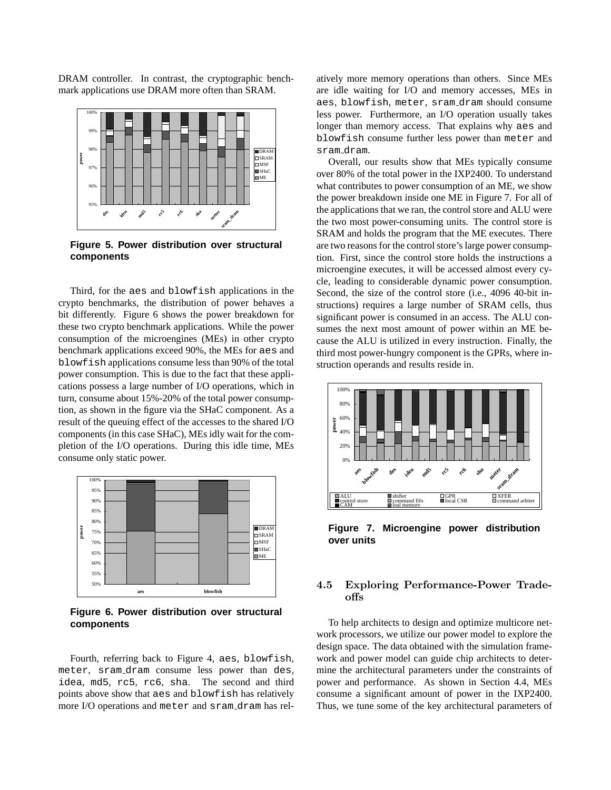DRAM controller. In contrast, the cryptographic benchmark applications use DRAM more often than SRAM.



**Figure 5. Power distribution over structural components**

Third, for the aes and blowfish applications in the crypto benchmarks, the distribution of power behaves a bit differently. Figure 6 shows the power breakdown for these two crypto benchmark applications. While the power consumption of the microengines (MEs) in other crypto benchmark applications exceed 90%, the MEs for aes and blowfish applications consume less than 90% of the total power consumption. This is due to the fact that these applications possess a large number of I/O operations, which in turn, consume about 15%-20% of the total power consumption, as shown in the figure via the SHaC component. As a result of the queuing effect of the accesses to the shared I/O components (in this case SHaC), MEs idly wait for the completion of the I/O operations. During this idle time, MEs consume only static power.



**Figure 6. Power distribution over structural components**

Fourth, referring back to Figure 4, aes, blowfish, meter, sram dram consume less power than des, idea, md5, rc5, rc6, sha. The second and third points above show that aes and blowfish has relatively more I/O operations and meter and sram dram has rel-

atively more memory operations than others. Since MEs are idle waiting for I/O and memory accesses, MEs in aes, blowfish, meter, sram dram should consume less power. Furthermore, an I/O operation usually takes longer than memory access. That explains why aes and blowfish consume further less power than meter and sram dram.

Overall, our results show that MEs typically consume over 80% of the total power in the IXP2400. To understand what contributes to power consumption of an ME, we show the power breakdown inside one ME in Figure 7. For all of the applications that we ran, the control store and ALU were the two most power-consuming units. The control store is SRAM and holds the program that the ME executes. There are two reasons for the control store's large power consumption. First, since the control store holds the instructions a microengine executes, it will be accessed almost every cycle, leading to considerable dynamic power consumption. Second, the size of the control store (i.e., 4096 40-bit instructions) requires a large number of SRAM cells, thus significant power is consumed in an access. The ALU consumes the next most amount of power within an ME because the ALU is utilized in every instruction. Finally, the third most power-hungry component is the GPRs, where instruction operands and results reside in.



**Figure 7. Microengine power distribution over units**

# 4.5 Exploring Performance-Power Tradeoffs

To help architects to design and optimize multicore network processors, we utilize our power model to explore the design space. The data obtained with the simulation framework and power model can guide chip architects to determine the architectural parameters under the constraints of power and performance. As shown in Section 4.4, MEs consume a significant amount of power in the IXP2400. Thus, we tune some of the key architectural parameters of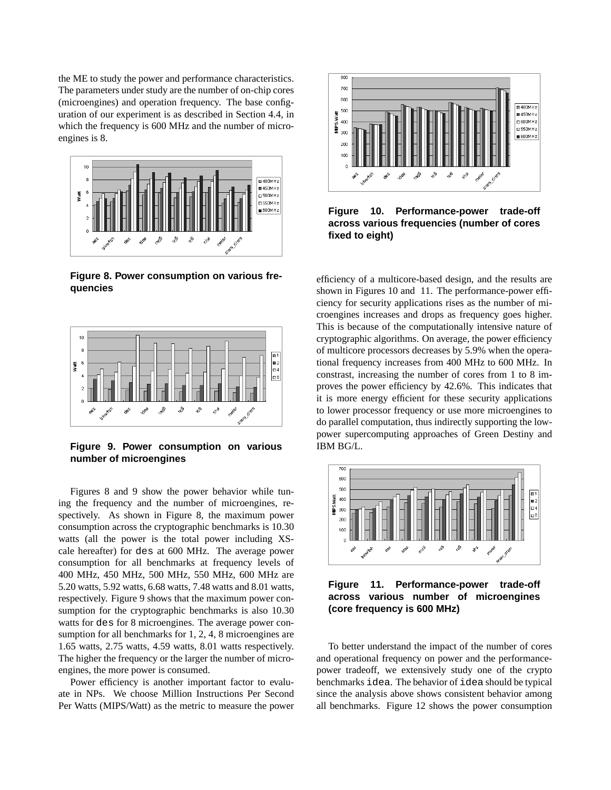the ME to study the power and performance characteristics. The parameters under study are the number of on-chip cores (microengines) and operation frequency. The base configuration of our experiment is as described in Section 4.4, in which the frequency is 600 MHz and the number of microengines is 8.



**Figure 8. Power consumption on various frequencies**



**Figure 9. Power consumption on various number of microengines**

Figures 8 and 9 show the power behavior while tuning the frequency and the number of microengines, respectively. As shown in Figure 8, the maximum power consumption across the cryptographic benchmarks is 10.30 watts (all the power is the total power including XScale hereafter) for des at 600 MHz. The average power consumption for all benchmarks at frequency levels of 400 MHz, 450 MHz, 500 MHz, 550 MHz, 600 MHz are 5.20 watts, 5.92 watts, 6.68 watts, 7.48 watts and 8.01 watts, respectively. Figure 9 shows that the maximum power consumption for the cryptographic benchmarks is also 10.30 watts for des for 8 microengines. The average power consumption for all benchmarks for 1, 2, 4, 8 microengines are 1.65 watts, 2.75 watts, 4.59 watts, 8.01 watts respectively. The higher the frequency or the larger the number of microengines, the more power is consumed.

Power efficiency is another important factor to evaluate in NPs. We choose Million Instructions Per Second Per Watts (MIPS/Watt) as the metric to measure the power



**Figure 10. Performance-power trade-off across various frequencies (number of cores fixed to eight)**

efficiency of a multicore-based design, and the results are shown in Figures 10 and 11. The performance-power efficiency for security applications rises as the number of microengines increases and drops as frequency goes higher. This is because of the computationally intensive nature of cryptographic algorithms. On average, the power efficiency of multicore processors decreases by 5.9% when the operational frequency increases from 400 MHz to 600 MHz. In constrast, increasing the number of cores from 1 to 8 improves the power efficiency by 42.6%. This indicates that it is more energy efficient for these security applications to lower processor frequency or use more microengines to do parallel computation, thus indirectly supporting the lowpower supercomputing approaches of Green Destiny and IBM BG/L.



**Figure 11. Performance-power trade-off across various number of microengines (core frequency is 600 MHz)**

To better understand the impact of the number of cores and operational frequency on power and the performancepower tradeoff, we extensively study one of the crypto benchmarks idea. The behavior of idea should be typical since the analysis above shows consistent behavior among all benchmarks. Figure 12 shows the power consumption